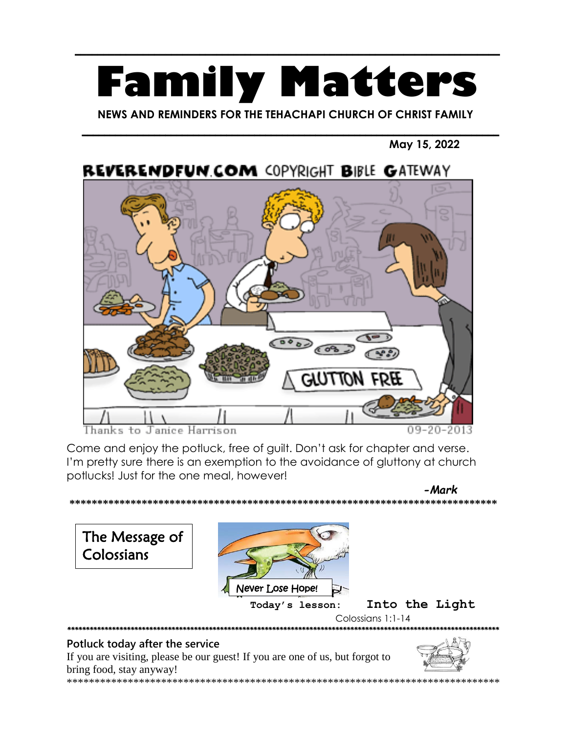# **Family Matters**

 $\frac{1}{\sqrt{2}}$ 

 **NEWS AND REMINDERS FOR THE TEHACHAPI CHURCH OF CHRIST FAMILY**

\_\_\_\_\_\_\_\_\_\_\_\_\_\_\_\_\_\_\_\_\_\_\_\_\_\_\_\_\_\_\_\_\_\_\_\_\_\_\_\_\_\_\_\_\_\_\_\_\_\_\_\_\_\_\_\_\_\_\_\_\_\_\_\_\_\_\_\_\_\_\_\_\_\_\_

#### **May 15, 2022**



Thanks to Janice Harrison

09-20-2013

Come and enjoy the potluck, free of guilt. Don't ask for chapter and verse. I'm pretty sure there is an exemption to the avoidance of gluttony at church potlucks! Just for the one meal, however!

 *-Mark* **\*\*\*\*\*\*\*\*\*\*\*\*\*\*\*\*\*\*\*\*\*\*\*\*\*\*\*\*\*\*\*\*\*\*\*\*\*\*\*\*\*\*\*\*\*\*\*\*\*\*\*\*\*\*\*\*\*\*\*\*\*\*\*\*\*\*\*\*\*\*\*\*\*\*\*\*\* Today's lesson: Into the Light** Colossians 1:1-14 \*\*\*\*\*\*\*\*\*\*\*\*\*\*\*\*\*\*\*\*\*\*\*\*\*\*\*\*\*\*\*\*\*\*\*\*\*\*\*\*\*\*\*\*\*\*\*\*\*\*\*\*\*\*\*\*\*\*\*\*\*\*\*\*\*\*\*\*\*\*\*\*\*\*\*\*\*\*\*\*\*\*\*\*\*\*\*\*\*\*\*\*\*\*\*\*\*\*\*\*\*\*\*\*\*\*\*\*\*\*\*\*\*\*\*\* **Potluck today after the service** The Message of Colossians Never Lose Hope!

If you are visiting, please be our guest! If you are one of us, but forgot to bring food, stay anyway! \*\*\*\*\*\*\*\*\*\*\*\*\*\*\*\*\*\*\*\*\*\*\*\*\*\*\*\*\*\*\*\*\*\*\*\*\*\*\*\*\*\*\*\*\*\*\*\*\*\*\*\*\*\*\*\*\*\*\*\*\*\*\*\*\*\*\*\*\*\*\*\*\*\*\*\*\*\*

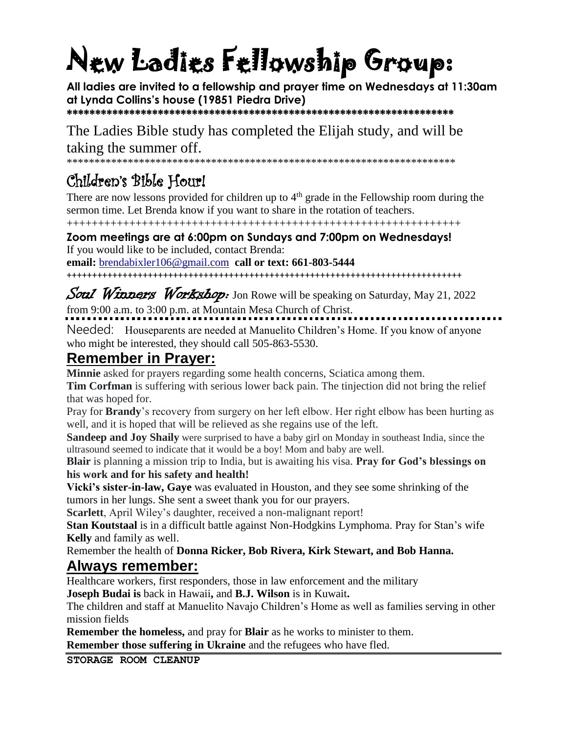## New Ladies Fellowship Group:

**All ladies are invited to a fellowship and prayer time on Wednesdays at 11:30am at Lynda Collins's house (19851 Piedra Drive) \*\*\*\*\*\*\*\*\*\*\*\*\*\*\*\*\*\*\*\*\*\*\*\*\*\*\*\*\*\*\*\*\*\*\*\*\*\*\*\*\*\*\*\*\*\*\*\*\*\*\*\*\*\*\*\*\*\*\*\*\*\*\*\*\*\*\*\***

The Ladies Bible study has completed the Elijah study, and will be taking the summer off.

\*\*\*\*\*\*\*\*\*\*\*\*\*\*\*\*\*\*\*\*\*\*\*\*\*\*\*\*\*\*\*\*\*\*\*\*\*\*\*\*\*\*\*\*\*\*\*\*\*\*\*\*\*\*\*\*\*\*\*\*\*\*\*\*\*\*\*\*\*\*

## Children's Bible Hour!

There are now lessons provided for children up to  $4<sup>th</sup>$  grade in the Fellowship room during the sermon time. Let Brenda know if you want to share in the rotation of teachers.

+++++++++++++++++++++++++++++++++++++++++++++++++++++++++++++++

**Zoom meetings are at 6:00pm on Sundays and 7:00pm on Wednesdays!** If you would like to be included, contact Brenda: **email:** [brendabixler106@gmail.com](mailto:brendabixler106@gmail.com) **call or text: 661-803-5444**

++++++++++++++++++++++++++++++++++++++++++++++++++++++++++++++++++++++++++++++

#### Soul Winners Workshop: Jon Rowe will be speaking on Saturday, May 21, 2022 from 9:00 a.m. to 3:00 p.m. at Mountain Mesa Church of Christ.

Needed: Houseparents are needed at Manuelito Children's Home. If you know of anyone who might be interested, they should call 505-863-5530.

## **Remember in Prayer:**

**Minnie** asked for prayers regarding some health concerns, Sciatica among them.

**Tim Corfman** is suffering with serious lower back pain. The tinjection did not bring the relief that was hoped for.

Pray for **Brandy**'s recovery from surgery on her left elbow. Her right elbow has been hurting as well, and it is hoped that will be relieved as she regains use of the left.

**Sandeep and Joy Shaily** were surprised to have a baby girl on Monday in southeast India, since the ultrasound seemed to indicate that it would be a boy! Mom and baby are well.

**Blair** is planning a mission trip to India, but is awaiting his visa. **Pray for God's blessings on his work and for his safety and health!**

**Vicki's sister-in-law, Gaye** was evaluated in Houston, and they see some shrinking of the tumors in her lungs. She sent a sweet thank you for our prayers.

**Scarlett**, April Wiley's daughter, received a non-malignant report!

**Stan Koutstaal** is in a difficult battle against Non-Hodgkins Lymphoma. Pray for Stan's wife **Kelly** and family as well.

Remember the health of **Donna Ricker, Bob Rivera, Kirk Stewart, and Bob Hanna.**

### **Always remember:**

Healthcare workers, first responders, those in law enforcement and the military

**Joseph Budai is** back in Hawaii**,** and **B.J. Wilson** is in Kuwait**.**

The children and staff at Manuelito Navajo Children's Home as well as families serving in other mission fields

**Remember the homeless,** and pray for **Blair** as he works to minister to them. **Remember those suffering in Ukraine** and the refugees who have fled.

**STORAGE ROOM CLEANUP**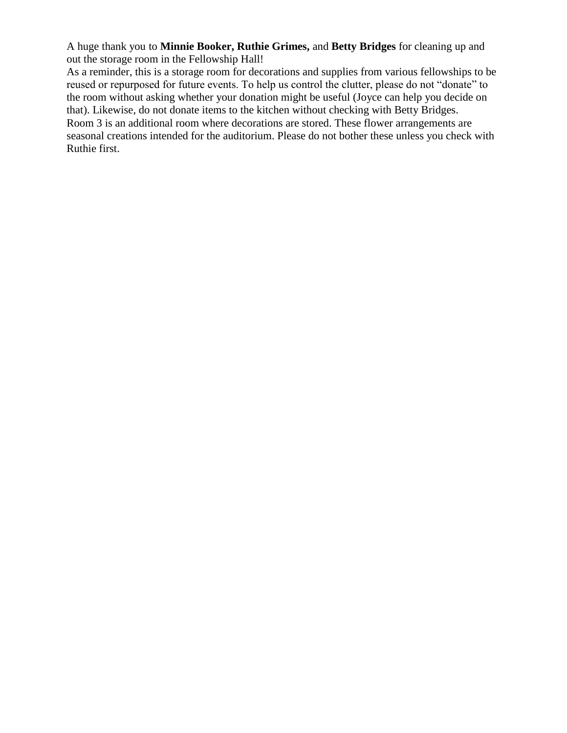A huge thank you to **Minnie Booker, Ruthie Grimes,** and **Betty Bridges** for cleaning up and out the storage room in the Fellowship Hall!

As a reminder, this is a storage room for decorations and supplies from various fellowships to be reused or repurposed for future events. To help us control the clutter, please do not "donate" to the room without asking whether your donation might be useful (Joyce can help you decide on that). Likewise, do not donate items to the kitchen without checking with Betty Bridges. Room 3 is an additional room where decorations are stored. These flower arrangements are seasonal creations intended for the auditorium. Please do not bother these unless you check with Ruthie first.